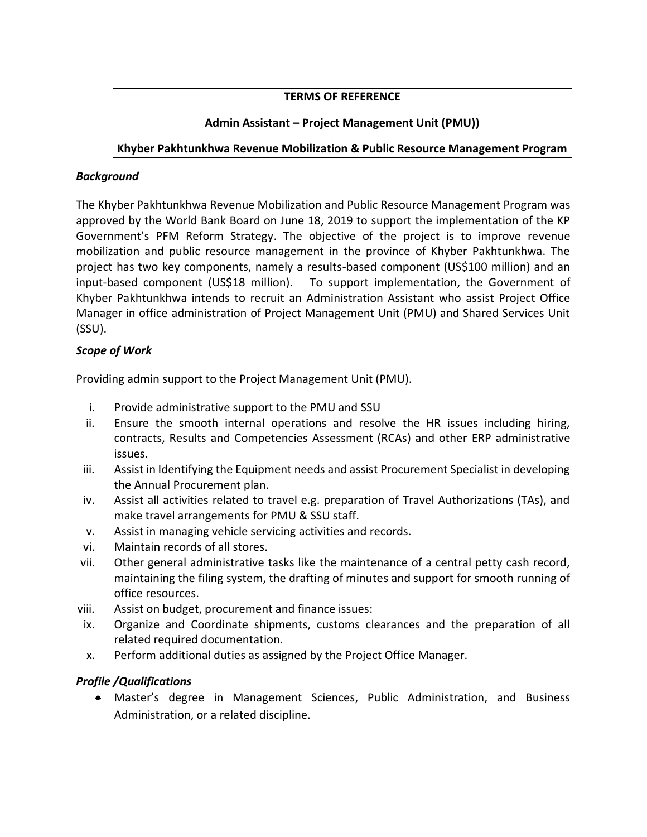# **TERMS OF REFERENCE**

# **Admin Assistant – Project Management Unit (PMU))**

## **Khyber Pakhtunkhwa Revenue Mobilization & Public Resource Management Program**

## *Background*

The Khyber Pakhtunkhwa Revenue Mobilization and Public Resource Management Program was approved by the World Bank Board on June 18, 2019 to support the implementation of the KP Government's PFM Reform Strategy. The objective of the project is to improve revenue mobilization and public resource management in the province of Khyber Pakhtunkhwa. The project has two key components, namely a results-based component (US\$100 million) and an input-based component (US\$18 million). To support implementation, the Government of Khyber Pakhtunkhwa intends to recruit an Administration Assistant who assist Project Office Manager in office administration of Project Management Unit (PMU) and Shared Services Unit (SSU).

#### *Scope of Work*

Providing admin support to the Project Management Unit (PMU).

- i. Provide administrative support to the PMU and SSU
- ii. Ensure the smooth internal operations and resolve the HR issues including hiring, contracts, Results and Competencies Assessment (RCAs) and other ERP administrative issues.
- iii. Assist in Identifying the Equipment needs and assist Procurement Specialist in developing the Annual Procurement plan.
- iv. Assist all activities related to travel e.g. preparation of Travel Authorizations (TAs), and make travel arrangements for PMU & SSU staff.
- v. Assist in managing vehicle servicing activities and records.
- vi. Maintain records of all stores.
- vii. Other general administrative tasks like the maintenance of a central petty cash record, maintaining the filing system, the drafting of minutes and support for smooth running of office resources.
- viii. Assist on budget, procurement and finance issues:
- ix. Organize and Coordinate shipments, customs clearances and the preparation of all related required documentation.
- x. Perform additional duties as assigned by the Project Office Manager.

## *Profile /Qualifications*

 Master's degree in Management Sciences, Public Administration, and Business Administration, or a related discipline.